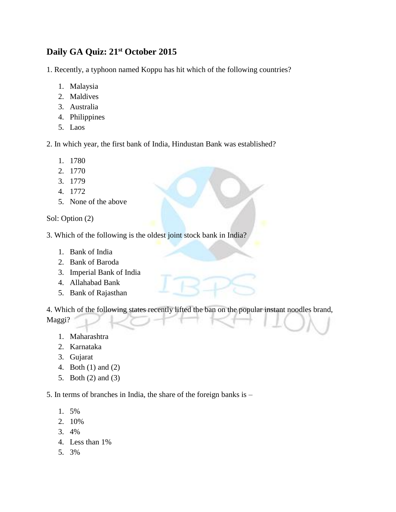## **Daily GA Quiz: 21st October 2015**

1. Recently, a typhoon named Koppu has hit which of the following countries?

- 1. Malaysia
- 2. Maldives
- 3. Australia
- 4. Philippines
- 5. Laos

2. In which year, the first bank of India, Hindustan Bank was established?

- 1. 1780
- 2. 1770
- 3. 1779
- 4. 1772
- 5. None of the above

Sol: Option (2)

3. Which of the following is the oldest joint stock bank in India?

- 1. Bank of India
- 2. Bank of Baroda
- 3. Imperial Bank of India
- 4. Allahabad Bank
- 5. Bank of Rajasthan

4. Which of the following states recently lifted the ban on the popular instant noodles brand, Maggi?

- 1. Maharashtra
- 2. Karnataka
- 3. Gujarat
- 4. Both (1) and (2)
- 5. Both (2) and (3)

5. In terms of branches in India, the share of the foreign banks is –

- 1. 5%
- 2. 10%
- 3. 4%
- 4. Less than 1%
- 5. 3%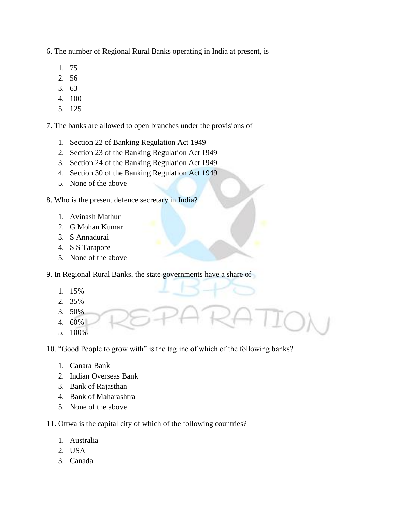6. The number of Regional Rural Banks operating in India at present, is –

- 1. 75
- 2. 56
- 3. 63
- 4. 100
- 5. 125

7. The banks are allowed to open branches under the provisions of –

- 1. Section 22 of Banking Regulation Act 1949
- 2. Section 23 of the Banking Regulation Act 1949
- 3. Section 24 of the Banking Regulation Act 1949
- 4. Section 30 of the Banking Regulation Act 1949
- 5. None of the above
- 8. Who is the present defence secretary in India?
	- 1. Avinash Mathur
	- 2. G Mohan Kumar
	- 3. S Annadurai
	- 4. S S Tarapore
	- 5. None of the above
- 9. In Regional Rural Banks, the state governments have a share of
	- 1. 15%
	- 2. 35%
	- 3. 50%
	- 4. 60%
	- 5. 100%

10. "Good People to grow with" is the tagline of which of the following banks?

- 1. Canara Bank
- 2. Indian Overseas Bank
- 3. Bank of Rajasthan
- 4. Bank of Maharashtra
- 5. None of the above

11. Ottwa is the capital city of which of the following countries?

- 1. Australia
- 2. USA
- 3. Canada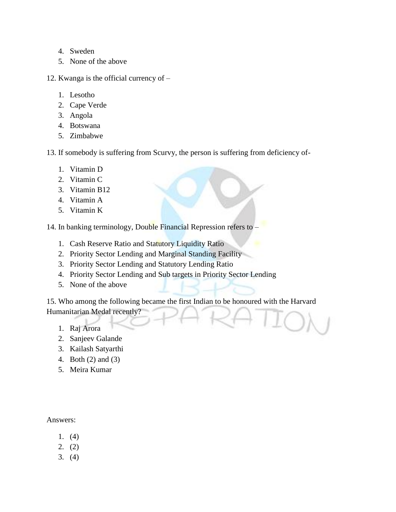- 4. Sweden
- 5. None of the above
- 12. Kwanga is the official currency of
	- 1. Lesotho
	- 2. Cape Verde
	- 3. Angola
	- 4. Botswana
	- 5. Zimbabwe
- 13. If somebody is suffering from Scurvy, the person is suffering from deficiency of-
	- 1. Vitamin D
	- 2. Vitamin C
	- 3. Vitamin B12
	- 4. Vitamin A
	- 5. Vitamin K

14. In banking terminology, Double Financial Repression refers to –

- 1. Cash Reserve Ratio and Statutory Liquidity Ratio
- 2. Priority Sector Lending and Marginal Standing Facility
- 3. Priority Sector Lending and Statutory Lending Ratio
- 4. Priority Sector Lending and Sub targets in Priority Sector Lending
- 5. None of the above

15. Who among the following became the first Indian to be honoured with the Harvard Humanitarian Medal recently?

- 1. Raj Arora
- 2. Sanjeev Galande
- 3. Kailash Satyarthi
- 4. Both (2) and (3)
- 5. Meira Kumar

## Answers:

- 1. (4)
- 2. (2)
- 3. (4)